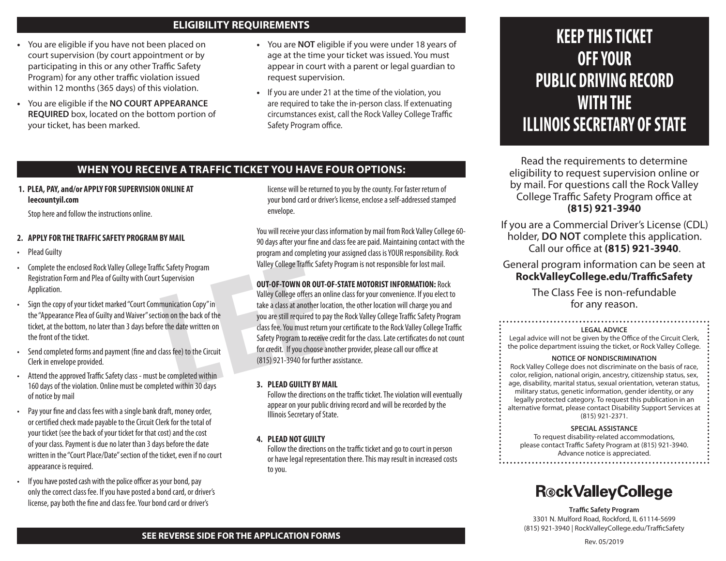# **ELIGIBILITY REQUIREMENTS**

- **•** You are eligible if you have not been placed on court supervision (by court appointment or by participating in this or any other Traffic Safety Program) for any other traffic violation issued within 12 months (365 days) of this violation.
- **•** You are eligible if the **NO COURT APPEARANCE REQUIRED** box, located on the bottom portion of your ticket, has been marked.
- **•** You are **NOT** eligible if you were under 18 years of age at the time your ticket was issued. You must appear in court with a parent or legal guardian to request supervision.
- **•** If you are under 21 at the time of the violation, you are required to take the in-person class. If extenuating circumstances exist, call the Rock Valley College Traffic Safety Program office.

# **WHEN YOU RECEIVE A TRAFFIC TICKET YOU HAVE FOUR OPTIONS:**

**1. PLEA, PAY, and/or APPLY FOR SUPERVISION ONLINE AT leecountyil.com**

Stop here and follow the instructions online.

## **2. APPLY FOR THE TRAFFIC SAFETY PROGRAM BY MAIL**

- Plead Guilty
- Complete the enclosed Rock Valley College Traffic Safety Program Registration Form and Plea of Guilty with Court Supervision Application.
- Sign the copy of your ticket marked "Court Communication Copy" in the "Appearance Plea of Guilty and Waiver" section on the back of the ticket, at the bottom, no later than 3 days before the date written on the front of the ticket.
- Send completed forms and payment (fine and class fee) to the Circuit Clerk in envelope provided.
- Attend the approved Traffic Safety class must be completed within 160 days of the violation. Online must be completed within 30 days of notice by mail
- Pay your fine and class fees with a single bank draft, money order, or certified check made payable to the Circuit Clerk for the total of your ticket (see the back of your ticket for that cost) and the cost of your class. Payment is due no later than 3 days before the date written in the "Court Place/Date" section of the ticket, even if no court appearance is required.
- If you have posted cash with the police officer as your bond, pay only the correct class fee. If you have posted a bond card, or driver's license, pay both the fine and class fee. Your bond card or driver's

license will be returned to you by the county. For faster return of your bond card or driver's license, enclose a self-addressed stamped envelope.

You will receive your class information by mail from Rock Valley College 60- 90 days after your fine and class fee are paid. Maintaining contact with the program and completing your assigned class is YOUR responsibility. Rock Valley College Traffic Safety Program is not responsible for lost mail.

## **OUT-OF-TOWN OR OUT-OF-STATE MOTORIST INFORMATION:** Rock

The Safety Program<br>
Supervision<br>
Supervision<br>
munication Copy" in<br>
munication Copy" in<br>
take a class at another local<br>
take a class at another local<br>
take a class at another local<br>
take a class at another local<br>
take a cla Valley College offers an online class for your convenience. If you elect to take a class at another location, the other location will charge you and you are still required to pay the Rock Valley College Traffic Safety Program class fee. You must return your certificate to the Rock Valley College Traffic Safety Program to receive credit for the class. Late certificates do not count for credit. If you choose another provider, please call our office at (815) 921-3940 for further assistance.

## **3. PLEAD GUILTY BY MAIL**

Follow the directions on the traffic ticket. The violation will eventually appear on your public driving record and will be recorded by the Illinois Secretary of State.

## **4. PLEAD NOT GUILTY**

Follow the directions on the traffic ticket and go to court in person or have legal representation there. This may result in increased costs to you.

# **KEEP THIS TICKET OFF YOUR PUBLIC DRIVING RECORD WITH THE ILLINOIS SECRETARY OF STATE**

Read the requirements to determine eligibility to request supervision online or by mail. For questions call the Rock Valley College Traffic Safety Program office at **(815) 921-3940**

If you are a Commercial Driver's License (CDL) holder, **DO NOT** complete this application. Call our office at **(815) 921-3940**.

General program information can be seen at **RockValleyCollege.edu/TrafficSafety** 

> The Class Fee is non-refundable for any reason.

#### **LEGAL ADVICE**

Legal advice will not be given by the Office of the Circuit Clerk, the police department issuing the ticket, or Rock Valley College.

#### **NOTICE OF NONDISCRIMINATION**

Rock Valley College does not discriminate on the basis of race, color, religion, national origin, ancestry, citizenship status, sex, age, disability, marital status, sexual orientation, veteran status, military status, genetic information, gender identity, or any legally protected category. To request this publication in an alternative format, please contact Disability Support Services at (815) 921-2371.

#### **SPECIAL ASSISTANCE**

To request disability-related accommodations, please contact Traffic Safety Program at (815) 921-3940. Advance notice is appreciated.

# **R**®ckValleyCollege

**Traffic Safety Program** 3301 N. Mulford Road, Rockford, IL 61114-5699 (815) 921-3940 | RockValleyCollege.edu/TrafficSafety